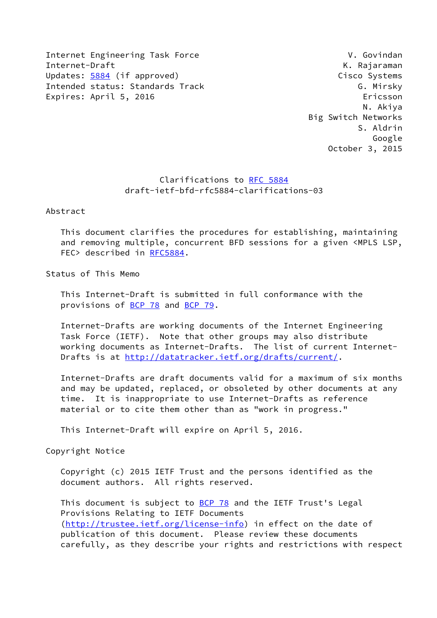Internet Engineering Task Force V. Govindan Internet-Draft K. Rajaraman Updates: [5884](https://datatracker.ietf.org/doc/pdf/rfc5884) (if approved) Cisco Systems Intended status: Standards Track G. Mirsky Expires: April 5, 2016 Ericsson

 N. Akiya Big Switch Networks S. Aldrin Google October 3, 2015

# Clarifications to [RFC 5884](https://datatracker.ietf.org/doc/pdf/rfc5884) draft-ietf-bfd-rfc5884-clarifications-03

Abstract

 This document clarifies the procedures for establishing, maintaining and removing multiple, concurrent BFD sessions for a given <MPLS LSP, FEC> described in [RFC5884](https://datatracker.ietf.org/doc/pdf/rfc5884).

Status of This Memo

 This Internet-Draft is submitted in full conformance with the provisions of [BCP 78](https://datatracker.ietf.org/doc/pdf/bcp78) and [BCP 79](https://datatracker.ietf.org/doc/pdf/bcp79).

 Internet-Drafts are working documents of the Internet Engineering Task Force (IETF). Note that other groups may also distribute working documents as Internet-Drafts. The list of current Internet- Drafts is at<http://datatracker.ietf.org/drafts/current/>.

 Internet-Drafts are draft documents valid for a maximum of six months and may be updated, replaced, or obsoleted by other documents at any time. It is inappropriate to use Internet-Drafts as reference material or to cite them other than as "work in progress."

This Internet-Draft will expire on April 5, 2016.

Copyright Notice

 Copyright (c) 2015 IETF Trust and the persons identified as the document authors. All rights reserved.

This document is subject to **[BCP 78](https://datatracker.ietf.org/doc/pdf/bcp78)** and the IETF Trust's Legal Provisions Relating to IETF Documents [\(http://trustee.ietf.org/license-info](http://trustee.ietf.org/license-info)) in effect on the date of publication of this document. Please review these documents carefully, as they describe your rights and restrictions with respect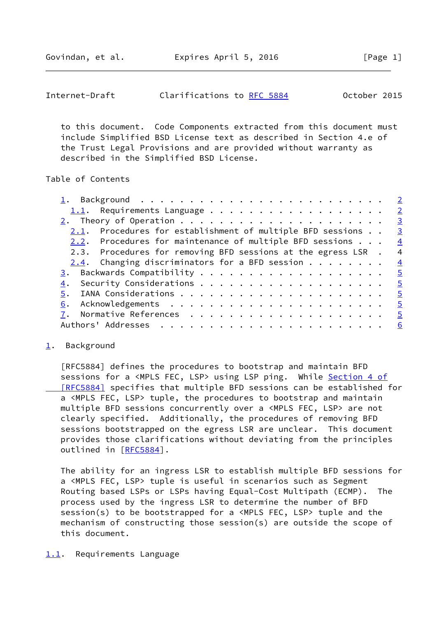Govindan, et al. **Expires April 5, 2016** [Page 1]

<span id="page-1-1"></span>

| Clarifications to RFC 5884<br>October 2015<br>Internet-Draft |
|--------------------------------------------------------------|
|--------------------------------------------------------------|

 to this document. Code Components extracted from this document must include Simplified BSD License text as described in Section 4.e of the Trust Legal Provisions and are provided without warranty as described in the Simplified BSD License.

### Table of Contents

| <u>1</u> . Background <u>2</u>                                        |                          |
|-----------------------------------------------------------------------|--------------------------|
| 1.1. Requirements Language $\frac{2}{3}$                              |                          |
|                                                                       | $\overline{\mathbf{3}}$  |
| $2.1.$ Procedures for establishment of multiple BFD sessions $\ldots$ | $\overline{\mathbf{3}}$  |
| 2.2. Procedures for maintenance of multiple BFD sessions $\ldots$ .   | $\frac{4}{3}$            |
| 2.3. Procedures for removing BFD sessions at the egress LSR .         | $\overline{a}$           |
| $2.4$ . Changing discriminators for a BFD session                     | $\frac{4}{1}$            |
|                                                                       | $\frac{5}{2}$            |
| Security Considerations $\cdots$ 5<br>4.                              |                          |
| 5.                                                                    |                          |
|                                                                       | $\overline{\phantom{0}}$ |
|                                                                       |                          |
|                                                                       | 6                        |
|                                                                       |                          |

#### <span id="page-1-0"></span>[1](#page-1-0). Background

 [RFC5884] defines the procedures to bootstrap and maintain BFD sessions for a <MPLS FEC, LSP> using LSP ping. While [Section](https://datatracker.ietf.org/doc/pdf/rfc5884#section-4) 4 of  [\[RFC5884\]](https://datatracker.ietf.org/doc/pdf/rfc5884#section-4) specifies that multiple BFD sessions can be established for a <MPLS FEC, LSP> tuple, the procedures to bootstrap and maintain multiple BFD sessions concurrently over a <MPLS FEC, LSP> are not clearly specified. Additionally, the procedures of removing BFD sessions bootstrapped on the egress LSR are unclear. This document provides those clarifications without deviating from the principles outlined in [\[RFC5884](https://datatracker.ietf.org/doc/pdf/rfc5884)].

 The ability for an ingress LSR to establish multiple BFD sessions for a <MPLS FEC, LSP> tuple is useful in scenarios such as Segment Routing based LSPs or LSPs having Equal-Cost Multipath (ECMP). The process used by the ingress LSR to determine the number of BFD session(s) to be bootstrapped for a <MPLS FEC, LSP> tuple and the mechanism of constructing those session(s) are outside the scope of this document.

#### <span id="page-1-2"></span>[1.1](#page-1-2). Requirements Language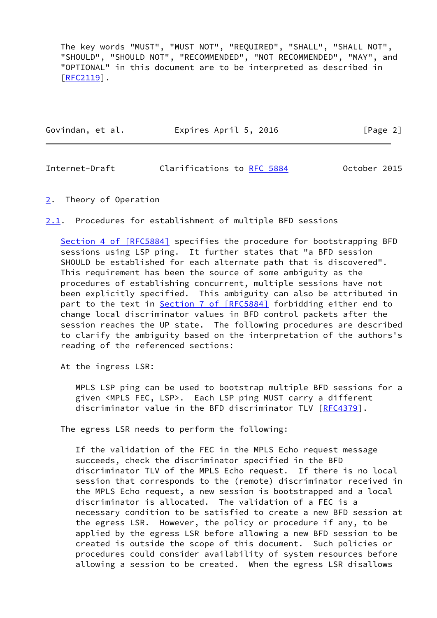The key words "MUST", "MUST NOT", "REQUIRED", "SHALL", "SHALL NOT", "SHOULD", "SHOULD NOT", "RECOMMENDED", "NOT RECOMMENDED", "MAY", and "OPTIONAL" in this document are to be interpreted as described in [\[RFC2119](https://datatracker.ietf.org/doc/pdf/rfc2119)].

| Govindan, et al. | Expires April 5, 2016 | [Page 2] |  |
|------------------|-----------------------|----------|--|
|                  |                       |          |  |

<span id="page-2-1"></span>Internet-Draft Clarifications to [RFC 5884](https://datatracker.ietf.org/doc/pdf/rfc5884) October 2015

<span id="page-2-0"></span>[2](#page-2-0). Theory of Operation

<span id="page-2-2"></span>[2.1](#page-2-2). Procedures for establishment of multiple BFD sessions

Section [4 of \[RFC5884\]](https://datatracker.ietf.org/doc/pdf/rfc5884#section-4) specifies the procedure for bootstrapping BFD sessions using LSP ping. It further states that "a BFD session SHOULD be established for each alternate path that is discovered". This requirement has been the source of some ambiguity as the procedures of establishing concurrent, multiple sessions have not been explicitly specified. This ambiguity can also be attributed in part to the text in Section [7 of \[RFC5884\]](https://datatracker.ietf.org/doc/pdf/rfc5884#section-7) forbidding either end to change local discriminator values in BFD control packets after the session reaches the UP state. The following procedures are described to clarify the ambiguity based on the interpretation of the authors's reading of the referenced sections:

At the ingress LSR:

 MPLS LSP ping can be used to bootstrap multiple BFD sessions for a given <MPLS FEC, LSP>. Each LSP ping MUST carry a different discriminator value in the BFD discriminator TLV [\[RFC4379](https://datatracker.ietf.org/doc/pdf/rfc4379)].

The egress LSR needs to perform the following:

 If the validation of the FEC in the MPLS Echo request message succeeds, check the discriminator specified in the BFD discriminator TLV of the MPLS Echo request. If there is no local session that corresponds to the (remote) discriminator received in the MPLS Echo request, a new session is bootstrapped and a local discriminator is allocated. The validation of a FEC is a necessary condition to be satisfied to create a new BFD session at the egress LSR. However, the policy or procedure if any, to be applied by the egress LSR before allowing a new BFD session to be created is outside the scope of this document. Such policies or procedures could consider availability of system resources before allowing a session to be created. When the egress LSR disallows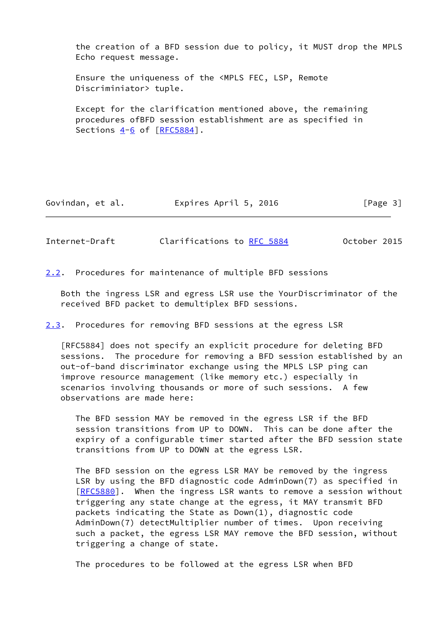the creation of a BFD session due to policy, it MUST drop the MPLS Echo request message.

 Ensure the uniqueness of the <MPLS FEC, LSP, Remote Discriminiator> tuple.

 Except for the clarification mentioned above, the remaining procedures ofBFD session establishment are as specified in Sections  $4-6$  $4-6$  of  $[REC5884]$ .

Govindan, et al. Expires April 5, 2016 [Page 3]

<span id="page-3-1"></span>Internet-Draft Clarifications to [RFC 5884](https://datatracker.ietf.org/doc/pdf/rfc5884) October 2015

<span id="page-3-0"></span>[2.2](#page-3-0). Procedures for maintenance of multiple BFD sessions

 Both the ingress LSR and egress LSR use the YourDiscriminator of the received BFD packet to demultiplex BFD sessions.

<span id="page-3-2"></span>[2.3](#page-3-2). Procedures for removing BFD sessions at the egress LSR

 [RFC5884] does not specify an explicit procedure for deleting BFD sessions. The procedure for removing a BFD session established by an out-of-band discriminator exchange using the MPLS LSP ping can improve resource management (like memory etc.) especially in scenarios involving thousands or more of such sessions. A few observations are made here:

 The BFD session MAY be removed in the egress LSR if the BFD session transitions from UP to DOWN. This can be done after the expiry of a configurable timer started after the BFD session state transitions from UP to DOWN at the egress LSR.

 The BFD session on the egress LSR MAY be removed by the ingress LSR by using the BFD diagnostic code AdminDown(7) as specified in [[RFC5880\]](https://datatracker.ietf.org/doc/pdf/rfc5880). When the ingress LSR wants to remove a session without triggering any state change at the egress, it MAY transmit BFD packets indicating the State as Down(1), diagnostic code AdminDown(7) detectMultiplier number of times. Upon receiving such a packet, the egress LSR MAY remove the BFD session, without triggering a change of state.

The procedures to be followed at the egress LSR when BFD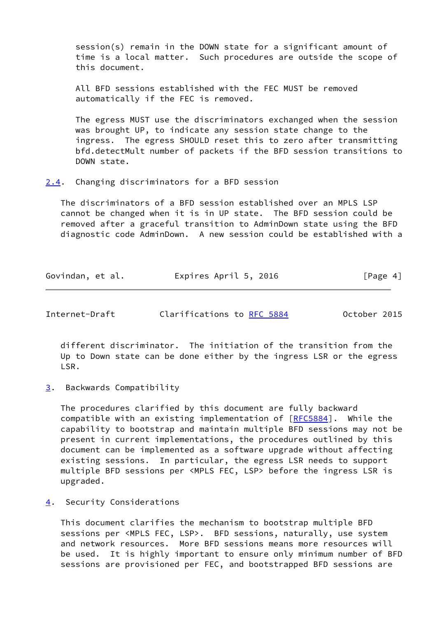session(s) remain in the DOWN state for a significant amount of time is a local matter. Such procedures are outside the scope of this document.

 All BFD sessions established with the FEC MUST be removed automatically if the FEC is removed.

 The egress MUST use the discriminators exchanged when the session was brought UP, to indicate any session state change to the ingress. The egress SHOULD reset this to zero after transmitting bfd.detectMult number of packets if the BFD session transitions to DOWN state.

<span id="page-4-0"></span>[2.4](#page-4-0). Changing discriminators for a BFD session

 The discriminators of a BFD session established over an MPLS LSP cannot be changed when it is in UP state. The BFD session could be removed after a graceful transition to AdminDown state using the BFD diagnostic code AdminDown. A new session could be established with a

| Govindan, et al. | Expires April 5, 2016 | [Page 4] |
|------------------|-----------------------|----------|
|------------------|-----------------------|----------|

<span id="page-4-2"></span>Internet-Draft Clarifications to [RFC 5884](https://datatracker.ietf.org/doc/pdf/rfc5884) October 2015

 different discriminator. The initiation of the transition from the Up to Down state can be done either by the ingress LSR or the egress LSR.

<span id="page-4-1"></span>[3](#page-4-1). Backwards Compatibility

 The procedures clarified by this document are fully backward compatible with an existing implementation of [[RFC5884](https://datatracker.ietf.org/doc/pdf/rfc5884)]. While the capability to bootstrap and maintain multiple BFD sessions may not be present in current implementations, the procedures outlined by this document can be implemented as a software upgrade without affecting existing sessions. In particular, the egress LSR needs to support multiple BFD sessions per <MPLS FEC, LSP> before the ingress LSR is upgraded.

## <span id="page-4-3"></span>[4](#page-4-3). Security Considerations

 This document clarifies the mechanism to bootstrap multiple BFD sessions per <MPLS FEC, LSP>. BFD sessions, naturally, use system and network resources. More BFD sessions means more resources will be used. It is highly important to ensure only minimum number of BFD sessions are provisioned per FEC, and bootstrapped BFD sessions are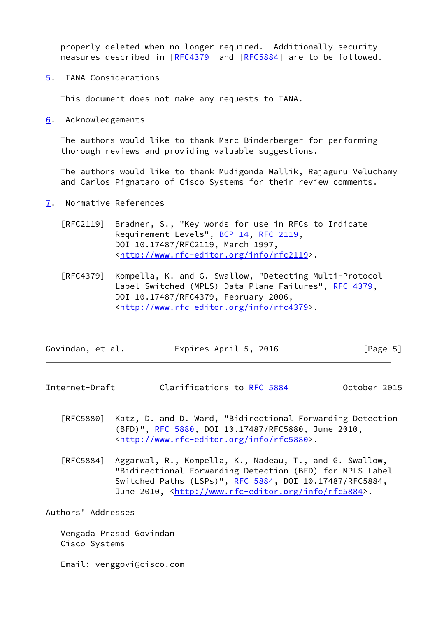properly deleted when no longer required. Additionally security measures described in [[RFC4379](https://datatracker.ietf.org/doc/pdf/rfc4379)] and [\[RFC5884](https://datatracker.ietf.org/doc/pdf/rfc5884)] are to be followed.

<span id="page-5-0"></span>[5](#page-5-0). IANA Considerations

This document does not make any requests to IANA.

<span id="page-5-1"></span>[6](#page-5-1). Acknowledgements

 The authors would like to thank Marc Binderberger for performing thorough reviews and providing valuable suggestions.

 The authors would like to thank Mudigonda Mallik, Rajaguru Veluchamy and Carlos Pignataro of Cisco Systems for their review comments.

- <span id="page-5-2"></span>[7](#page-5-2). Normative References
	- [RFC2119] Bradner, S., "Key words for use in RFCs to Indicate Requirement Levels", [BCP 14](https://datatracker.ietf.org/doc/pdf/bcp14), [RFC 2119](https://datatracker.ietf.org/doc/pdf/rfc2119), DOI 10.17487/RFC2119, March 1997, <<http://www.rfc-editor.org/info/rfc2119>>.
	- [RFC4379] Kompella, K. and G. Swallow, "Detecting Multi-Protocol Label Switched (MPLS) Data Plane Failures", [RFC 4379,](https://datatracker.ietf.org/doc/pdf/rfc4379) DOI 10.17487/RFC4379, February 2006, <<http://www.rfc-editor.org/info/rfc4379>>.

| Govindan, et al. | Expires April 5, 2016 | [Page 5] |
|------------------|-----------------------|----------|
|------------------|-----------------------|----------|

- <span id="page-5-3"></span>Internet-Draft Clarifications to [RFC 5884](https://datatracker.ietf.org/doc/pdf/rfc5884) October 2015
	- [RFC5880] Katz, D. and D. Ward, "Bidirectional Forwarding Detection (BFD)", [RFC 5880,](https://datatracker.ietf.org/doc/pdf/rfc5880) DOI 10.17487/RFC5880, June 2010, <<http://www.rfc-editor.org/info/rfc5880>>.
	- [RFC5884] Aggarwal, R., Kompella, K., Nadeau, T., and G. Swallow, "Bidirectional Forwarding Detection (BFD) for MPLS Label Switched Paths (LSPs)", [RFC 5884,](https://datatracker.ietf.org/doc/pdf/rfc5884) DOI 10.17487/RFC5884, June 2010, <<http://www.rfc-editor.org/info/rfc5884>>.

Authors' Addresses

 Vengada Prasad Govindan Cisco Systems

Email: venggovi@cisco.com